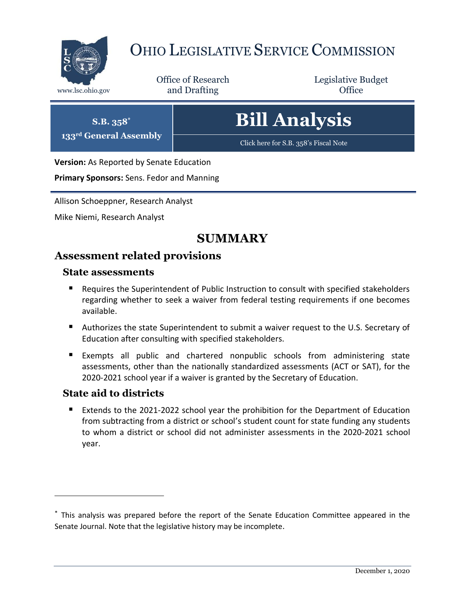

# OHIO LEGISLATIVE SERVICE COMMISSION

Office of Research www.lsc.ohio.gov **and Drafting Office** 

Legislative Budget

# **Bill Analysis**

[Click here for S.B. 358](https://www.legislature.ohio.gov/legislation/legislation-documents?id=GA133-SB-358)'s Fiscal Note

**Version:** As Reported by Senate Education

**Primary Sponsors:** Sens. Fedor and Manning

Allison Schoeppner, Research Analyst

Mike Niemi, Research Analyst

**S.B. 358\* 133rd General Assembly**

# **SUMMARY**

## **Assessment related provisions**

#### **State assessments**

- Requires the Superintendent of Public Instruction to consult with specified stakeholders regarding whether to seek a waiver from federal testing requirements if one becomes available.
- Authorizes the state Superintendent to submit a waiver request to the U.S. Secretary of Education after consulting with specified stakeholders.
- Exempts all public and chartered nonpublic schools from administering state assessments, other than the nationally standardized assessments (ACT or SAT), for the 2020-2021 school year if a waiver is granted by the Secretary of Education.

#### **State aid to districts**

 $\overline{a}$ 

 Extends to the 2021-2022 school year the prohibition for the Department of Education from subtracting from a district or school's student count for state funding any students to whom a district or school did not administer assessments in the 2020-2021 school year.

<sup>\*</sup> This analysis was prepared before the report of the Senate Education Committee appeared in the Senate Journal. Note that the legislative history may be incomplete.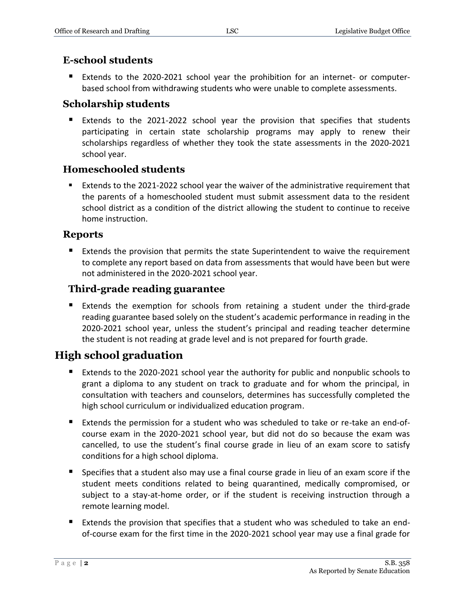## **E-school students**

 Extends to the 2020-2021 school year the prohibition for an internet- or computerbased school from withdrawing students who were unable to complete assessments.

## **Scholarship students**

 Extends to the 2021-2022 school year the provision that specifies that students participating in certain state scholarship programs may apply to renew their scholarships regardless of whether they took the state assessments in the 2020-2021 school year.

## **Homeschooled students**

 Extends to the 2021-2022 school year the waiver of the administrative requirement that the parents of a homeschooled student must submit assessment data to the resident school district as a condition of the district allowing the student to continue to receive home instruction.

## **Reports**

 Extends the provision that permits the state Superintendent to waive the requirement to complete any report based on data from assessments that would have been but were not administered in the 2020-2021 school year.

## **Third-grade reading guarantee**

 Extends the exemption for schools from retaining a student under the third-grade reading guarantee based solely on the student's academic performance in reading in the 2020-2021 school year, unless the student's principal and reading teacher determine the student is not reading at grade level and is not prepared for fourth grade.

## **High school graduation**

- Extends to the 2020-2021 school year the authority for public and nonpublic schools to grant a diploma to any student on track to graduate and for whom the principal, in consultation with teachers and counselors, determines has successfully completed the high school curriculum or individualized education program.
- Extends the permission for a student who was scheduled to take or re-take an end-ofcourse exam in the 2020-2021 school year, but did not do so because the exam was cancelled, to use the student's final course grade in lieu of an exam score to satisfy conditions for a high school diploma.
- Specifies that a student also may use a final course grade in lieu of an exam score if the student meets conditions related to being quarantined, medically compromised, or subject to a stay-at-home order, or if the student is receiving instruction through a remote learning model.
- Extends the provision that specifies that a student who was scheduled to take an endof-course exam for the first time in the 2020-2021 school year may use a final grade for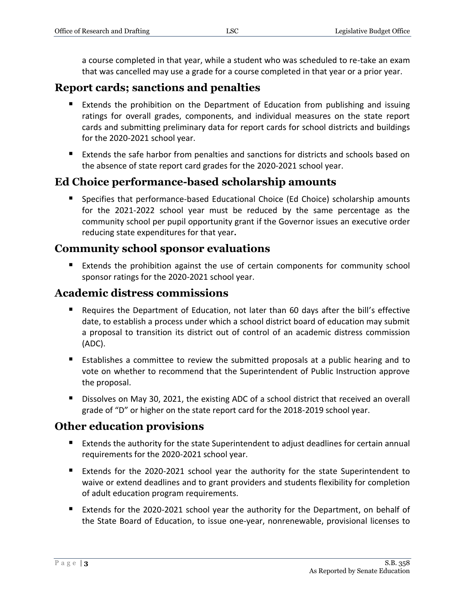a course completed in that year, while a student who was scheduled to re-take an exam that was cancelled may use a grade for a course completed in that year or a prior year.

## **Report cards; sanctions and penalties**

- Extends the prohibition on the Department of Education from publishing and issuing ratings for overall grades, components, and individual measures on the state report cards and submitting preliminary data for report cards for school districts and buildings for the 2020-2021 school year.
- **Extends the safe harbor from penalties and sanctions for districts and schools based on** the absence of state report card grades for the 2020-2021 school year.

## **Ed Choice performance-based scholarship amounts**

**Specifies that performance-based Educational Choice (Ed Choice) scholarship amounts** for the 2021-2022 school year must be reduced by the same percentage as the community school per pupil opportunity grant if the Governor issues an executive order reducing state expenditures for that year**.**

## **Community school sponsor evaluations**

Extends the prohibition against the use of certain components for community school sponsor ratings for the 2020-2021 school year.

## **Academic distress commissions**

- Requires the Department of Education, not later than 60 days after the bill's effective date, to establish a process under which a school district board of education may submit a proposal to transition its district out of control of an academic distress commission (ADC).
- Establishes a committee to review the submitted proposals at a public hearing and to vote on whether to recommend that the Superintendent of Public Instruction approve the proposal.
- Dissolves on May 30, 2021, the existing ADC of a school district that received an overall grade of "D" or higher on the state report card for the 2018-2019 school year.

## **Other education provisions**

- Extends the authority for the state Superintendent to adjust deadlines for certain annual requirements for the 2020-2021 school year.
- Extends for the 2020-2021 school year the authority for the state Superintendent to waive or extend deadlines and to grant providers and students flexibility for completion of adult education program requirements.
- Extends for the 2020-2021 school year the authority for the Department, on behalf of the State Board of Education, to issue one-year, nonrenewable, provisional licenses to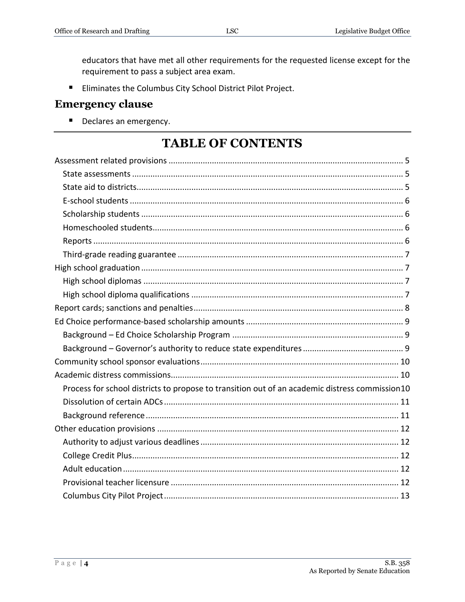educators that have met all other requirements for the requested license except for the requirement to pass a subject area exam.

Eliminates the Columbus City School District Pilot Project.

### **Emergency clause**

• Declares an emergency.

# **TABLE OF CONTENTS**

| Process for school districts to propose to transition out of an academic distress commission10 |
|------------------------------------------------------------------------------------------------|
|                                                                                                |
|                                                                                                |
|                                                                                                |
|                                                                                                |
|                                                                                                |
|                                                                                                |
|                                                                                                |
|                                                                                                |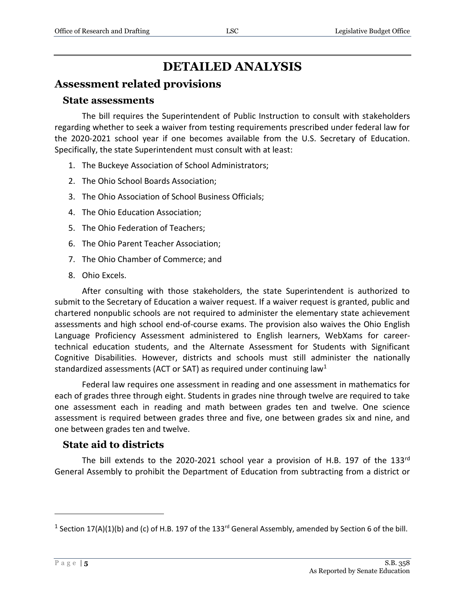# **DETAILED ANALYSIS**

## <span id="page-4-0"></span>**Assessment related provisions**

#### <span id="page-4-1"></span>**State assessments**

The bill requires the Superintendent of Public Instruction to consult with stakeholders regarding whether to seek a waiver from testing requirements prescribed under federal law for the 2020-2021 school year if one becomes available from the U.S. Secretary of Education. Specifically, the state Superintendent must consult with at least:

- 1. The Buckeye Association of School Administrators;
- 2. The Ohio School Boards Association;
- 3. The Ohio Association of School Business Officials;
- 4. The Ohio Education Association;
- 5. The Ohio Federation of Teachers;
- 6. The Ohio Parent Teacher Association;
- 7. The Ohio Chamber of Commerce; and
- 8. Ohio Excels.

After consulting with those stakeholders, the state Superintendent is authorized to submit to the Secretary of Education a waiver request. If a waiver request is granted, public and chartered nonpublic schools are not required to administer the elementary state achievement assessments and high school end-of-course exams. The provision also waives the Ohio English Language Proficiency Assessment administered to English learners, WebXams for careertechnical education students, and the Alternate Assessment for Students with Significant Cognitive Disabilities. However, districts and schools must still administer the nationally standardized assessments (ACT or SAT) as required under continuing law<sup>1</sup>

Federal law requires one assessment in reading and one assessment in mathematics for each of grades three through eight. Students in grades nine through twelve are required to take one assessment each in reading and math between grades ten and twelve. One science assessment is required between grades three and five, one between grades six and nine, and one between grades ten and twelve.

#### <span id="page-4-2"></span>**State aid to districts**

The bill extends to the 2020-2021 school year a provision of H.B. 197 of the 133 $^{\text{rd}}$ General Assembly to prohibit the Department of Education from subtracting from a district or

<sup>&</sup>lt;sup>1</sup> Section 17(A)(1)(b) and (c) of H.B. 197 of the 133<sup>rd</sup> General Assembly, amended by Section 6 of the bill.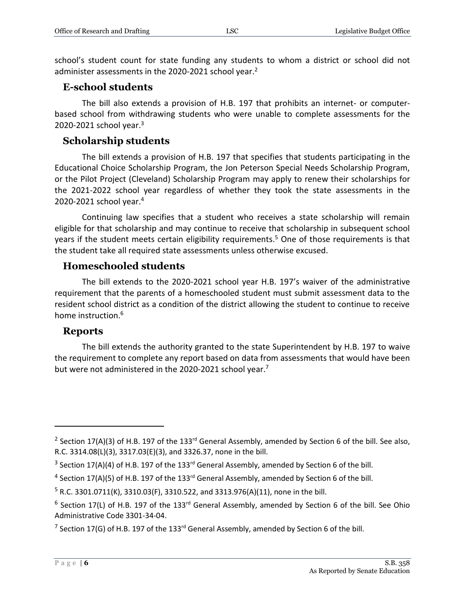school's student count for state funding any students to whom a district or school did not administer assessments in the 2020-2021 school year.<sup>2</sup>

#### <span id="page-5-0"></span>**E-school students**

The bill also extends a provision of H.B. 197 that prohibits an internet- or computerbased school from withdrawing students who were unable to complete assessments for the 2020-2021 school year. $3$ 

#### <span id="page-5-1"></span>**Scholarship students**

The bill extends a provision of H.B. 197 that specifies that students participating in the Educational Choice Scholarship Program, the Jon Peterson Special Needs Scholarship Program, or the Pilot Project (Cleveland) Scholarship Program may apply to renew their scholarships for the 2021-2022 school year regardless of whether they took the state assessments in the 2020-2021 school year. 4

Continuing law specifies that a student who receives a state scholarship will remain eligible for that scholarship and may continue to receive that scholarship in subsequent school years if the student meets certain eligibility requirements.<sup>5</sup> One of those requirements is that the student take all required state assessments unless otherwise excused.

#### <span id="page-5-2"></span>**Homeschooled students**

The bill extends to the 2020-2021 school year H.B. 197's waiver of the administrative requirement that the parents of a homeschooled student must submit assessment data to the resident school district as a condition of the district allowing the student to continue to receive home instruction.<sup>6</sup>

#### <span id="page-5-3"></span>**Reports**

The bill extends the authority granted to the state Superintendent by H.B. 197 to waive the requirement to complete any report based on data from assessments that would have been but were not administered in the 2020-2021 school year.<sup>7</sup>

<sup>&</sup>lt;sup>2</sup> Section 17(A)(3) of H.B. 197 of the 133<sup>rd</sup> General Assembly, amended by Section 6 of the bill. See also, R.C. 3314.08(L)(3), 3317.03(E)(3), and 3326.37, none in the bill.

 $3$  Section 17(A)(4) of H.B. 197 of the 133<sup>rd</sup> General Assembly, amended by Section 6 of the bill.

 $^4$  Section 17(A)(5) of H.B. 197 of the 133<sup>rd</sup> General Assembly, amended by Section 6 of the bill.

<sup>5</sup> R.C. 3301.0711(K), 3310.03(F), 3310.522, and 3313.976(A)(11), none in the bill.

 $^6$  Section 17(L) of H.B. 197 of the 133<sup>rd</sup> General Assembly, amended by Section 6 of the bill. See Ohio Administrative Code 3301-34-04.

<sup>&</sup>lt;sup>7</sup> Section 17(G) of H.B. 197 of the 133<sup>rd</sup> General Assembly, amended by Section 6 of the bill.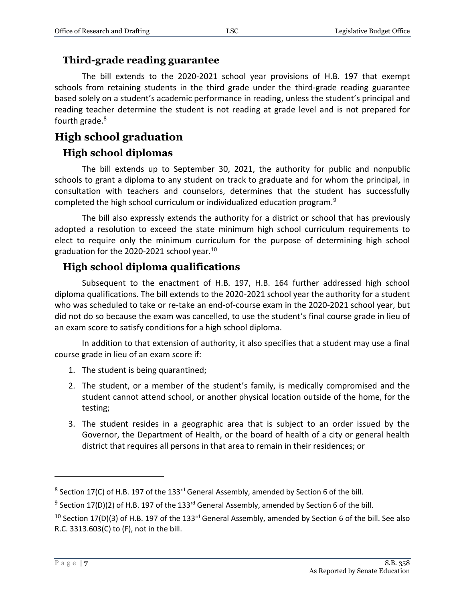### <span id="page-6-0"></span>**Third-grade reading guarantee**

The bill extends to the 2020-2021 school year provisions of H.B. 197 that exempt schools from retaining students in the third grade under the third-grade reading guarantee based solely on a student's academic performance in reading, unless the student's principal and reading teacher determine the student is not reading at grade level and is not prepared for fourth grade. 8

## <span id="page-6-1"></span>**High school graduation**

## <span id="page-6-2"></span>**High school diplomas**

The bill extends up to September 30, 2021, the authority for public and nonpublic schools to grant a diploma to any student on track to graduate and for whom the principal, in consultation with teachers and counselors, determines that the student has successfully completed the high school curriculum or individualized education program.<sup>9</sup>

The bill also expressly extends the authority for a district or school that has previously adopted a resolution to exceed the state minimum high school curriculum requirements to elect to require only the minimum curriculum for the purpose of determining high school graduation for the 2020-2021 school year.<sup>10</sup>

## <span id="page-6-3"></span>**High school diploma qualifications**

Subsequent to the enactment of H.B. 197, H.B. 164 further addressed high school diploma qualifications. The bill extends to the 2020-2021 school year the authority for a student who was scheduled to take or re-take an end-of-course exam in the 2020-2021 school year, but did not do so because the exam was cancelled, to use the student's final course grade in lieu of an exam score to satisfy conditions for a high school diploma.

In addition to that extension of authority, it also specifies that a student may use a final course grade in lieu of an exam score if:

- 1. The student is being quarantined;
- 2. The student, or a member of the student's family, is medically compromised and the student cannot attend school, or another physical location outside of the home, for the testing;
- 3. The student resides in a geographic area that is subject to an order issued by the Governor, the Department of Health, or the board of health of a city or general health district that requires all persons in that area to remain in their residences; or

 $^8$  Section 17(C) of H.B. 197 of the 133<sup>rd</sup> General Assembly, amended by Section 6 of the bill.

 $^9$  Section 17(D)(2) of H.B. 197 of the 133<sup>rd</sup> General Assembly, amended by Section 6 of the bill.

<sup>&</sup>lt;sup>10</sup> Section 17(D)(3) of H.B. 197 of the 133<sup>rd</sup> General Assembly, amended by Section 6 of the bill. See also R.C. 3313.603(C) to (F), not in the bill.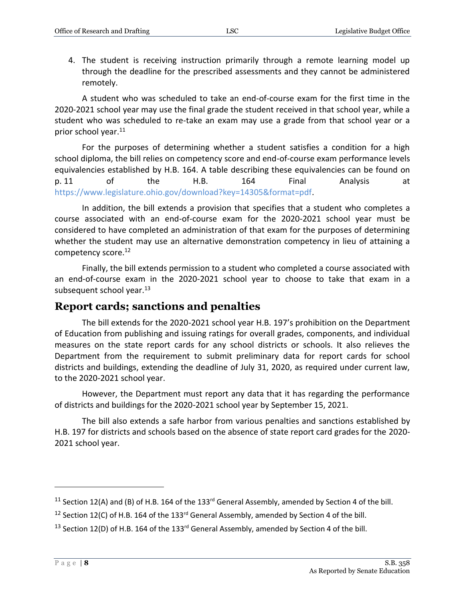4. The student is receiving instruction primarily through a remote learning model up through the deadline for the prescribed assessments and they cannot be administered remotely.

A student who was scheduled to take an end-of-course exam for the first time in the 2020-2021 school year may use the final grade the student received in that school year, while a student who was scheduled to re-take an exam may use a grade from that school year or a prior school year.<sup>11</sup>

For the purposes of determining whether a student satisfies a condition for a high school diploma, the bill relies on competency score and end-of-course exam performance levels equivalencies established by H.B. 164. A table describing these equivalencies can be found on p. 11 of the H.B. 164 Final Analysis at [https://www.legislature.ohio.gov/download?key=14305&format=pdf.](https://www.legislature.ohio.gov/download?key=14305&format=pdf)

In addition, the bill extends a provision that specifies that a student who completes a course associated with an end-of-course exam for the 2020-2021 school year must be considered to have completed an administration of that exam for the purposes of determining whether the student may use an alternative demonstration competency in lieu of attaining a competency score.<sup>12</sup>

Finally, the bill extends permission to a student who completed a course associated with an end-of-course exam in the 2020-2021 school year to choose to take that exam in a subsequent school year.<sup>13</sup>

## <span id="page-7-0"></span>**Report cards; sanctions and penalties**

The bill extends for the 2020-2021 school year H.B. 197's prohibition on the Department of Education from publishing and issuing ratings for overall grades, components, and individual measures on the state report cards for any school districts or schools. It also relieves the Department from the requirement to submit preliminary data for report cards for school districts and buildings, extending the deadline of July 31, 2020, as required under current law, to the 2020-2021 school year.

However, the Department must report any data that it has regarding the performance of districts and buildings for the 2020-2021 school year by September 15, 2021.

The bill also extends a safe harbor from various penalties and sanctions established by H.B. 197 for districts and schools based on the absence of state report card grades for the 2020- 2021 school year.

<sup>&</sup>lt;sup>11</sup> Section 12(A) and (B) of H.B. 164 of the 133<sup>rd</sup> General Assembly, amended by Section 4 of the bill.

<sup>&</sup>lt;sup>12</sup> Section 12(C) of H.B. 164 of the 133<sup>rd</sup> General Assembly, amended by Section 4 of the bill.

<sup>&</sup>lt;sup>13</sup> Section 12(D) of H.B. 164 of the 133<sup>rd</sup> General Assembly, amended by Section 4 of the bill.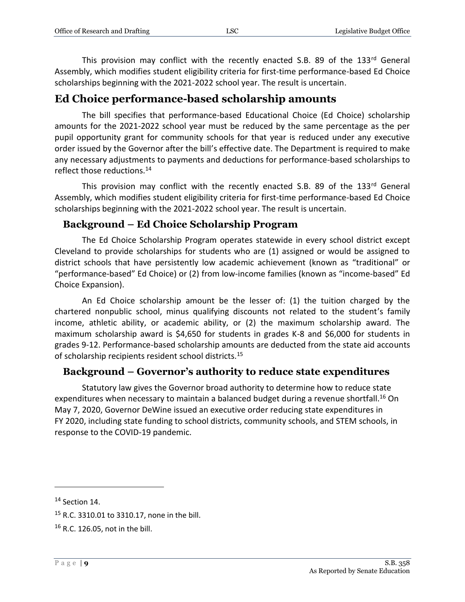This provision may conflict with the recently enacted S.B. 89 of the 133rd General Assembly, which modifies student eligibility criteria for first-time performance-based Ed Choice scholarships beginning with the 2021-2022 school year. The result is uncertain.

### <span id="page-8-0"></span>**Ed Choice performance-based scholarship amounts**

The bill specifies that performance-based Educational Choice (Ed Choice) scholarship amounts for the 2021-2022 school year must be reduced by the same percentage as the per pupil opportunity grant for community schools for that year is reduced under any executive order issued by the Governor after the bill's effective date. The Department is required to make any necessary adjustments to payments and deductions for performance-based scholarships to reflect those reductions.<sup>14</sup>

This provision may conflict with the recently enacted S.B. 89 of the 133rd General Assembly, which modifies student eligibility criteria for first-time performance-based Ed Choice scholarships beginning with the 2021-2022 school year. The result is uncertain.

#### <span id="page-8-1"></span>**Background – Ed Choice Scholarship Program**

The Ed Choice Scholarship Program operates statewide in every school district except Cleveland to provide scholarships for students who are (1) assigned or would be assigned to district schools that have persistently low academic achievement (known as "traditional" or "performance-based" Ed Choice) or (2) from low-income families (known as "income-based" Ed Choice Expansion).

An Ed Choice scholarship amount be the lesser of: (1) the tuition charged by the chartered nonpublic school, minus qualifying discounts not related to the student's family income, athletic ability, or academic ability, or (2) the maximum scholarship award. The maximum scholarship award is \$4,650 for students in grades K-8 and \$6,000 for students in grades 9-12. Performance-based scholarship amounts are deducted from the state aid accounts of scholarship recipients resident school districts.<sup>15</sup>

#### <span id="page-8-2"></span>**Background – Governor's authority to reduce state expenditures**

Statutory law gives the Governor broad authority to determine how to reduce state expenditures when necessary to maintain a balanced budget during a revenue shortfall.<sup>16</sup> On May 7, 2020, Governor DeWine issued an executive order reducing state expenditures in FY 2020, including state funding to school districts, community schools, and STEM schools, in response to the COVID-19 pandemic.

<sup>&</sup>lt;sup>14</sup> Section 14.

<sup>15</sup> R.C. 3310.01 to 3310.17, none in the bill.

<sup>16</sup> R.C. 126.05, not in the bill.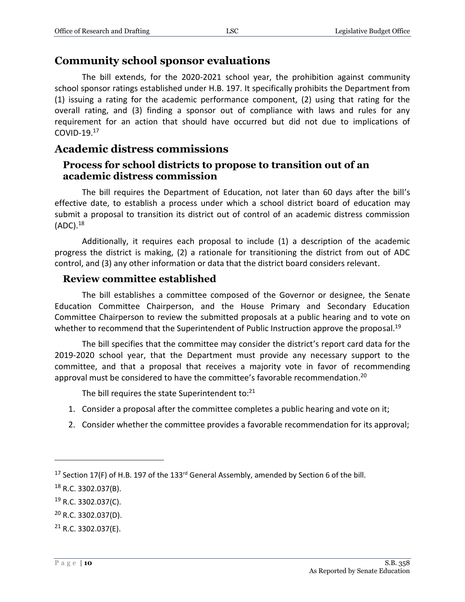## <span id="page-9-0"></span>**Community school sponsor evaluations**

The bill extends, for the 2020-2021 school year, the prohibition against community school sponsor ratings established under H.B. 197. It specifically prohibits the Department from (1) issuing a rating for the academic performance component, (2) using that rating for the overall rating, and (3) finding a sponsor out of compliance with laws and rules for any requirement for an action that should have occurred but did not due to implications of COVID-19. $17$ 

## <span id="page-9-1"></span>**Academic distress commissions**

#### <span id="page-9-2"></span>**Process for school districts to propose to transition out of an academic distress commission**

The bill requires the Department of Education, not later than 60 days after the bill's effective date, to establish a process under which a school district board of education may submit a proposal to transition its district out of control of an academic distress commission  $(ADC).<sup>18</sup>$ 

Additionally, it requires each proposal to include (1) a description of the academic progress the district is making, (2) a rationale for transitioning the district from out of ADC control, and (3) any other information or data that the district board considers relevant.

#### **Review committee established**

The bill establishes a committee composed of the Governor or designee, the Senate Education Committee Chairperson, and the House Primary and Secondary Education Committee Chairperson to review the submitted proposals at a public hearing and to vote on whether to recommend that the Superintendent of Public Instruction approve the proposal.<sup>19</sup>

The bill specifies that the committee may consider the district's report card data for the 2019-2020 school year, that the Department must provide any necessary support to the committee, and that a proposal that receives a majority vote in favor of recommending approval must be considered to have the committee's favorable recommendation.<sup>20</sup>

The bill requires the state Superintendent to: $21$ 

- 1. Consider a proposal after the committee completes a public hearing and vote on it;
- 2. Consider whether the committee provides a favorable recommendation for its approval;

<sup>&</sup>lt;sup>17</sup> Section 17(F) of H.B. 197 of the 133<sup>rd</sup> General Assembly, amended by Section 6 of the bill.

 $18$  R.C. 3302.037(B).

<sup>19</sup> R.C. 3302.037(C).

<sup>20</sup> R.C. 3302.037(D).

 $21$  R.C. 3302.037(E).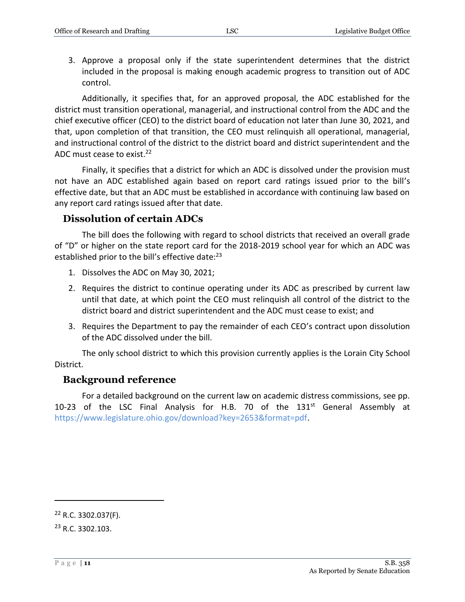3. Approve a proposal only if the state superintendent determines that the district included in the proposal is making enough academic progress to transition out of ADC control.

Additionally, it specifies that, for an approved proposal, the ADC established for the district must transition operational, managerial, and instructional control from the ADC and the chief executive officer (CEO) to the district board of education not later than June 30, 2021, and that, upon completion of that transition, the CEO must relinquish all operational, managerial, and instructional control of the district to the district board and district superintendent and the ADC must cease to exist.<sup>22</sup>

Finally, it specifies that a district for which an ADC is dissolved under the provision must not have an ADC established again based on report card ratings issued prior to the bill's effective date, but that an ADC must be established in accordance with continuing law based on any report card ratings issued after that date.

#### <span id="page-10-0"></span>**Dissolution of certain ADCs**

The bill does the following with regard to school districts that received an overall grade of "D" or higher on the state report card for the 2018-2019 school year for which an ADC was established prior to the bill's effective date:<sup>23</sup>

- 1. Dissolves the ADC on May 30, 2021;
- 2. Requires the district to continue operating under its ADC as prescribed by current law until that date, at which point the CEO must relinquish all control of the district to the district board and district superintendent and the ADC must cease to exist; and
- 3. Requires the Department to pay the remainder of each CEO's contract upon dissolution of the ADC dissolved under the bill.

The only school district to which this provision currently applies is the Lorain City School District.

#### <span id="page-10-1"></span>**Background reference**

For a detailed background on the current law on academic distress commissions, see pp. 10-23 of the LSC Final Analysis for H.B. 70 of the  $131<sup>st</sup>$  General Assembly at [https://www.legislature.ohio.gov/download?key=2653&format=pdf.](https://www.legislature.ohio.gov/download?key=2653&format=pdf)

<sup>22</sup> R.C. 3302.037(F).

<sup>23</sup> R.C. 3302.103.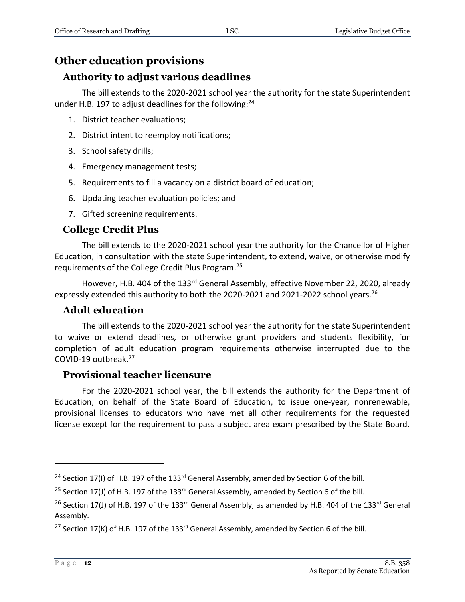## <span id="page-11-0"></span>**Other education provisions**

## <span id="page-11-1"></span>**Authority to adjust various deadlines**

The bill extends to the 2020-2021 school year the authority for the state Superintendent under H.B. 197 to adjust deadlines for the following: $^{24}$ 

- 1. District teacher evaluations;
- 2. District intent to reemploy notifications;
- 3. School safety drills;
- 4. Emergency management tests;
- 5. Requirements to fill a vacancy on a district board of education;
- 6. Updating teacher evaluation policies; and
- 7. Gifted screening requirements.

## <span id="page-11-2"></span>**College Credit Plus**

The bill extends to the 2020-2021 school year the authority for the Chancellor of Higher Education, in consultation with the state Superintendent, to extend, waive, or otherwise modify requirements of the College Credit Plus Program.<sup>25</sup>

However, H.B. 404 of the 133<sup>rd</sup> General Assembly, effective November 22, 2020, already expressly extended this authority to both the 2020-2021 and 2021-2022 school years.<sup>26</sup>

#### <span id="page-11-3"></span>**Adult education**

The bill extends to the 2020-2021 school year the authority for the state Superintendent to waive or extend deadlines, or otherwise grant providers and students flexibility, for completion of adult education program requirements otherwise interrupted due to the COVID-19 outbreak.<sup>27</sup>

#### <span id="page-11-4"></span>**Provisional teacher licensure**

For the 2020-2021 school year, the bill extends the authority for the Department of Education, on behalf of the State Board of Education, to issue one-year, nonrenewable, provisional licenses to educators who have met all other requirements for the requested license except for the requirement to pass a subject area exam prescribed by the State Board.

<sup>&</sup>lt;sup>24</sup> Section 17(I) of H.B. 197 of the 133<sup>rd</sup> General Assembly, amended by Section 6 of the bill.

<sup>&</sup>lt;sup>25</sup> Section 17(J) of H.B. 197 of the 133<sup>rd</sup> General Assembly, amended by Section 6 of the bill.

<sup>&</sup>lt;sup>26</sup> Section 17(J) of H.B. 197 of the 133<sup>rd</sup> General Assembly, as amended by H.B. 404 of the 133<sup>rd</sup> General Assembly.

<sup>&</sup>lt;sup>27</sup> Section 17(K) of H.B. 197 of the 133<sup>rd</sup> General Assembly, amended by Section 6 of the bill.